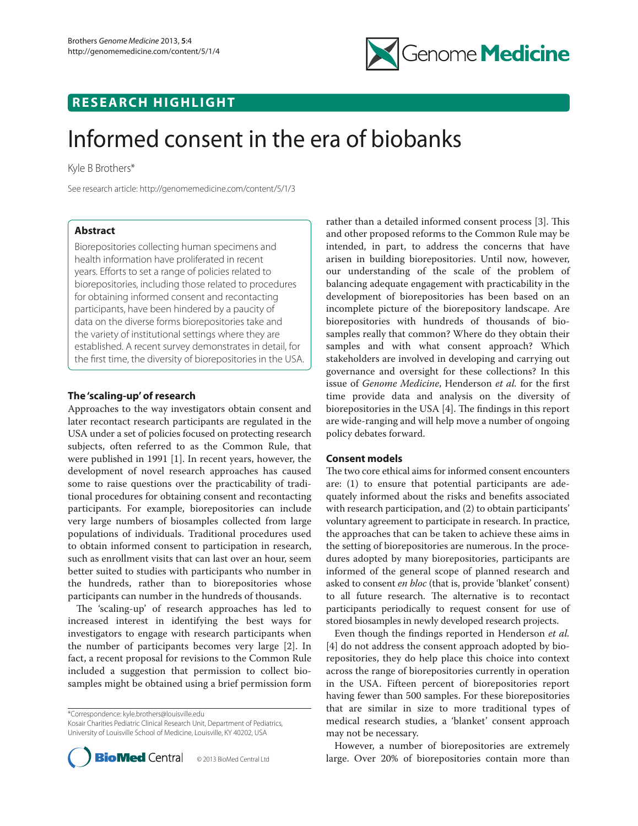

# **RESEARCH HIGHLIGHT**

# Informed consent in the era of biobanks

Kyle B Brothers\*

See research article: http://genomemedicine.com/content/5/1/3

# **Abstract**

Biorepositories collecting human specimens and health information have proliferated in recent years. Efforts to set a range of policies related to biorepositories, including those related to procedures for obtaining informed consent and recontacting participants, have been hindered by a paucity of data on the diverse forms biorepositories take and the variety of institutional settings where they are established. A recent survey demonstrates in detail, for the first time, the diversity of biorepositories in the USA.

## **The 'scaling-up' of research**

Approaches to the way investigators obtain consent and later recontact research participants are regulated in the USA under a set of policies focused on protecting research subjects, often referred to as the Common Rule, that were published in 1991 [1]. In recent years, however, the development of novel research approaches has caused some to raise questions over the practicability of traditional procedures for obtaining consent and recontacting participants. For example, biorepositories can include very large numbers of biosamples collected from large populations of individuals. Traditional procedures used to obtain informed consent to participation in research, such as enrollment visits that can last over an hour, seem better suited to studies with participants who number in the hundreds, rather than to biorepositories whose participants can number in the hundreds of thousands.

The 'scaling-up' of research approaches has led to increased interest in identifying the best ways for investigators to engage with research participants when the number of participants becomes very large [2]. In fact, a recent proposal for revisions to the Common Rule included a suggestion that permission to collect biosamples might be obtained using a brief permission form

\*Correspondence: kyle.brothers@louisville.edu

Kosair Charities Pediatric Clinical Research Unit, Department of Pediatrics, University of Louisville School of Medicine, Louisville, KY 40202, USA



rather than a detailed informed consent process [3]. This and other proposed reforms to the Common Rule may be intended, in part, to address the concerns that have arisen in building biorepositories. Until now, however, our understanding of the scale of the problem of balancing adequate engagement with practicability in the development of biorepositories has been based on an incomplete picture of the biorepository landscape. Are biorepositories with hundreds of thousands of biosamples really that common? Where do they obtain their samples and with what consent approach? Which stakeholders are involved in developing and carrying out governance and oversight for these collections? In this issue of *Genome Medicine*, Henderson *et al.* for the first time provide data and analysis on the diversity of biorepositories in the USA [4]. The findings in this report are wide-ranging and will help move a number of ongoing policy debates forward.

### **Consent models**

The two core ethical aims for informed consent encounters are: (1) to ensure that potential participants are adequately informed about the risks and benefits associated with research participation, and (2) to obtain participants' voluntary agreement to participate in research. In practice, the approaches that can be taken to achieve these aims in the setting of biorepositories are numerous. In the procedures adopted by many biorepositories, participants are informed of the general scope of planned research and asked to consent *en bloc* (that is, provide 'blanket' consent) to all future research. The alternative is to recontact participants periodically to request consent for use of stored biosamples in newly developed research projects.

Even though the findings reported in Henderson *et al.* [4] do not address the consent approach adopted by biorepositories, they do help place this choice into context across the range of biorepositories currently in operation in the USA. Fifteen percent of biorepositories report having fewer than 500 samples. For these biorepositories that are similar in size to more traditional types of medical research studies, a 'blanket' consent approach may not be necessary.

However, a number of biorepositories are extremely large. Over 20% of biorepositories contain more than